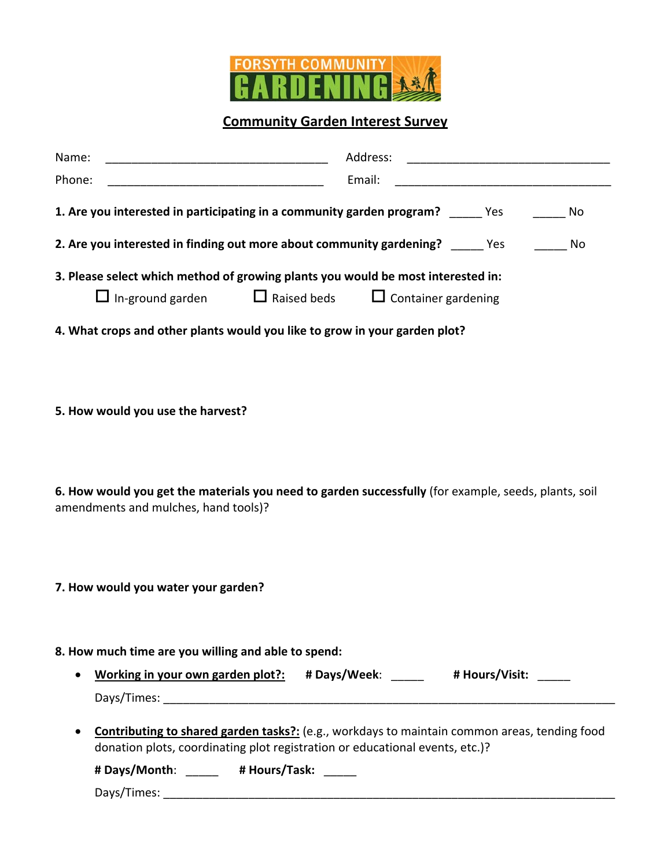

**Community Garden Interest Survey**

| Name:                                                                                                | Address:                                                                                     |  |
|------------------------------------------------------------------------------------------------------|----------------------------------------------------------------------------------------------|--|
| Phone:                                                                                               | Email:                                                                                       |  |
| 1. Are you interested in participating in a community garden program? _____ Yes                      | No                                                                                           |  |
| 2. Are you interested in finding out more about community gardening? These Mes                       | No                                                                                           |  |
| 3. Please select which method of growing plants you would be most interested in:                     |                                                                                              |  |
| $\Box$ In-ground garden $\Box$ Raised beds $\Box$ Container gardening                                |                                                                                              |  |
| 4. What crops and other plants would you like to grow in your garden plot?                           |                                                                                              |  |
|                                                                                                      |                                                                                              |  |
|                                                                                                      |                                                                                              |  |
| 5. How would you use the harvest?                                                                    |                                                                                              |  |
|                                                                                                      |                                                                                              |  |
|                                                                                                      |                                                                                              |  |
| 6. How would you get the materials you need to garden successfully (for example, seeds, plants, soil |                                                                                              |  |
| amendments and mulches, hand tools)?                                                                 |                                                                                              |  |
|                                                                                                      |                                                                                              |  |
|                                                                                                      |                                                                                              |  |
| 7. How would you water your garden?                                                                  |                                                                                              |  |
|                                                                                                      |                                                                                              |  |
| 8. How much time are you willing and able to spend:                                                  |                                                                                              |  |
| Working in your own garden plot?: # Days/Week: ______ # Hours/Visit: _____<br>$\bullet$              |                                                                                              |  |
|                                                                                                      |                                                                                              |  |
| ٠                                                                                                    | Contributing to shared garden tasks?: (e.g., workdays to maintain common areas, tending food |  |
| donation plots, coordinating plot registration or educational events, etc.)?                         |                                                                                              |  |
| # Days/Month: _____ # Hours/Task: ____                                                               |                                                                                              |  |
|                                                                                                      |                                                                                              |  |